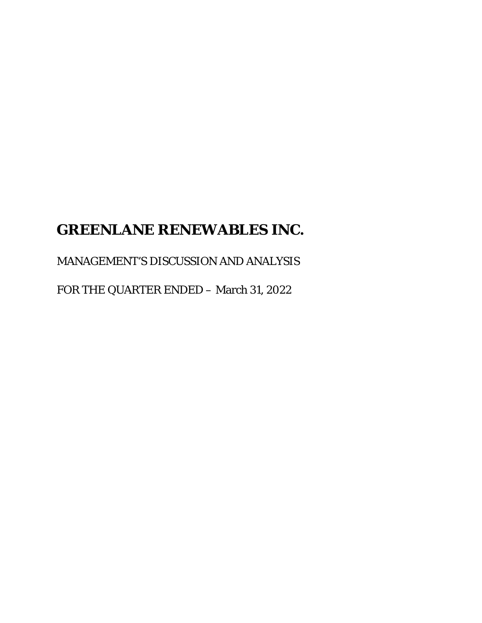# **GREENLANE RENEWABLES INC.**

# MANAGEMENT'S DISCUSSION AND ANALYSIS

FOR THE QUARTER ENDED – March 31, 2022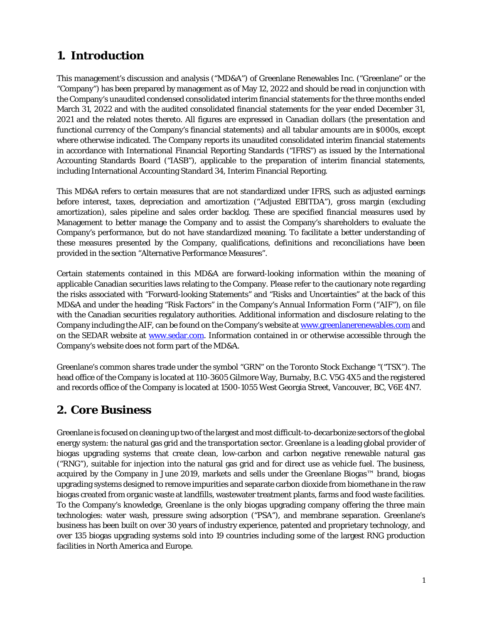# **1. Introduction**

This management's discussion and analysis ("MD&A") of Greenlane Renewables Inc. ("Greenlane" or the "Company") has been prepared by management as of May 12, 2022 and should be read in conjunction with the Company's unaudited condensed consolidated interim financial statements for the three months ended March 31, 2022 and with the audited consolidated financial statements for the year ended December 31, 2021 and the related notes thereto. All figures are expressed in Canadian dollars (the presentation and functional currency of the Company's financial statements) and all tabular amounts are in \$000s, except where otherwise indicated. The Company reports its unaudited consolidated interim financial statements in accordance with International Financial Reporting Standards ("IFRS") as issued by the International Accounting Standards Board ("IASB"), applicable to the preparation of interim financial statements, including International Accounting Standard 34, Interim Financial Reporting.

This MD&A refers to certain measures that are not standardized under IFRS, such as adjusted earnings before interest, taxes, depreciation and amortization ("Adjusted EBITDA"), gross margin (excluding amortization), sales pipeline and sales order backlog. These are specified financial measures used by Management to better manage the Company and to assist the Company's shareholders to evaluate the Company's performance, but do not have standardized meaning. To facilitate a better understanding of these measures presented by the Company, qualifications, definitions and reconciliations have been provided in the section "Alternative Performance Measures".

Certain statements contained in this MD&A are forward-looking information within the meaning of applicable Canadian securities laws relating to the Company. Please refer to the cautionary note regarding the risks associated with "Forward-looking Statements" and "Risks and Uncertainties" at the back of this MD&A and under the heading "Risk Factors" in the Company's Annual Information Form ("AIF"), on file with the Canadian securities regulatory authorities. Additional information and disclosure relating to the Company including the AIF, can be found on the Company's website at [www.greenlanerenewables.com](http://www.greenlanerenewables.com/) and on the SEDAR website at **www.sedar.com**. Information contained in or otherwise accessible through the Company's website does not form part of the MD&A.

Greenlane's common shares trade under the symbol "GRN" on the Toronto Stock Exchange "("TSX"). The head office of the Company is located at 110-3605 Gilmore Way, Burnaby, B.C. V5G 4X5 and the registered and records office of the Company is located at 1500-1055 West Georgia Street, Vancouver, BC, V6E 4N7.

# **2. Core Business**

Greenlane is focused on cleaning up two of the largest and most difficult-to-decarbonize sectors of the global energy system: the natural gas grid and the transportation sector. Greenlane is a leading global provider of biogas upgrading systems that create clean, low-carbon and carbon negative renewable natural gas ("RNG"), suitable for injection into the natural gas grid and for direct use as vehicle fuel. The business, acquired by the Company in June 2019, markets and sells under the Greenlane Biogas™ brand, biogas upgrading systems designed to remove impurities and separate carbon dioxide from biomethane in the raw biogas created from organic waste at landfills, wastewater treatment plants, farms and food waste facilities. To the Company's knowledge, Greenlane is the only biogas upgrading company offering the three main technologies: water wash, pressure swing adsorption ("PSA"), and membrane separation. Greenlane's business has been built on over 30 years of industry experience, patented and proprietary technology, and over 135 biogas upgrading systems sold into 19 countries including some of the largest RNG production facilities in North America and Europe.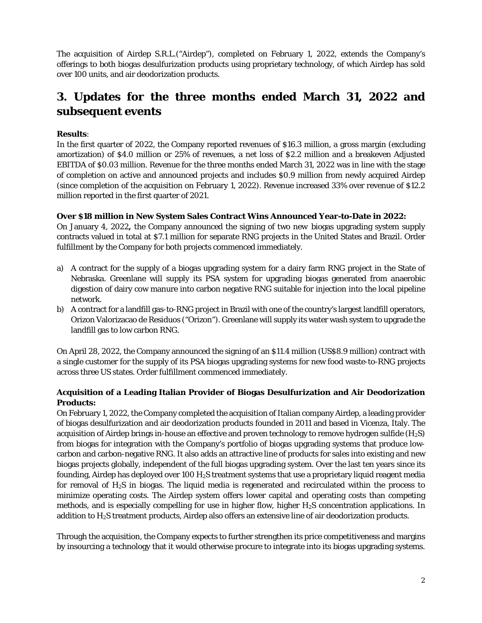The acquisition of Airdep S.R.L.("Airdep"), completed on February 1, 2022, extends the Company's offerings to both biogas desulfurization products using proprietary technology, of which Airdep has sold over 100 units, and air deodorization products.

# **3. Updates for the three months ended March 31, 2022 and subsequent events**

### **Results**:

In the first quarter of 2022, the Company reported revenues of \$16.3 million, a gross margin (excluding amortization) of \$4.0 million or 25% of revenues, a net loss of \$2.2 million and a breakeven Adjusted EBITDA of \$0.03 million. Revenue for the three months ended March 31, 2022 was in line with the stage of completion on active and announced projects and includes \$0.9 million from newly acquired Airdep (since completion of the acquisition on February 1, 2022). Revenue increased 33% over revenue of \$12.2 million reported in the first quarter of 2021.

### **Over \$18 million in New System Sales Contract Wins Announced Year-to-Date in 2022:**

On January 4, 2022**,** the Company announced the signing of two new biogas upgrading system supply contracts valued in total at \$7.1 million for separate RNG projects in the United States and Brazil. Order fulfillment by the Company for both projects commenced immediately.

- a) A contract for the supply of a biogas upgrading system for a dairy farm RNG project in the State of Nebraska. Greenlane will supply its PSA system for upgrading biogas generated from anaerobic digestion of dairy cow manure into carbon negative RNG suitable for injection into the local pipeline network.
- b) A contract for a landfill gas-to-RNG project in Brazil with one of the country's largest landfill operators, Orizon Valorizacao de Residuos ("Orizon"). Greenlane will supply its water wash system to upgrade the landfill gas to low carbon RNG.

On April 28, 2022, the Company announced the signing of an \$11.4 million (US\$8.9 million) contract with a single customer for the supply of its PSA biogas upgrading systems for new food waste-to-RNG projects across three US states. Order fulfillment commenced immediately.

### **Acquisition of a Leading Italian Provider of Biogas Desulfurization and Air Deodorization Products:**

On February 1, 2022, the Company completed the acquisition of Italian company Airdep, a leading provider of biogas desulfurization and air deodorization products founded in 2011 and based in Vicenza, Italy. The acquisition of Airdep brings in-house an effective and proven technology to remove hydrogen sulfide  $(H_2S)$ from biogas for integration with the Company's portfolio of biogas upgrading systems that produce lowcarbon and carbon-negative RNG. It also adds an attractive line of products for sales into existing and new biogas projects globally, independent of the full biogas upgrading system. Over the last ten years since its founding, Airdep has deployed over 100  $H_2S$  treatment systems that use a proprietary liquid reagent media for removal of  $H_2S$  in biogas. The liquid media is regenerated and recirculated within the process to minimize operating costs. The Airdep system offers lower capital and operating costs than competing methods, and is especially compelling for use in higher flow, higher  $H_2S$  concentration applications. In addition to H2S treatment products, Airdep also offers an extensive line of air deodorization products.

Through the acquisition, the Company expects to further strengthen its price competitiveness and margins by insourcing a technology that it would otherwise procure to integrate into its biogas upgrading systems.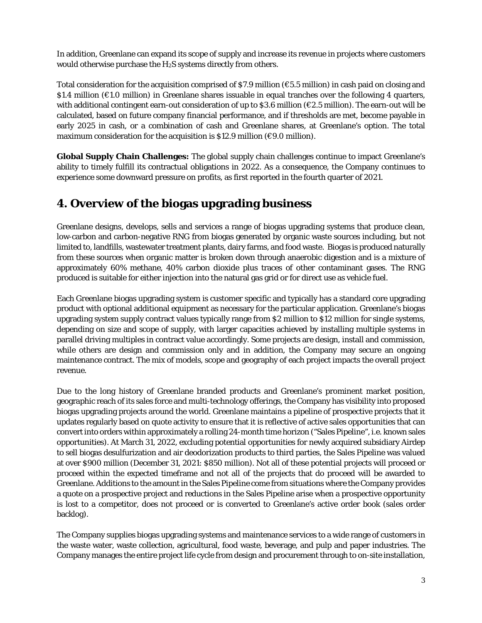In addition, Greenlane can expand its scope of supply and increase its revenue in projects where customers would otherwise purchase the H2S systems directly from others.

Total consideration for the acquisition comprised of \$7.9 million (€5.5 million) in cash paid on closing and \$1.4 million (€1.0 million) in Greenlane shares issuable in equal tranches over the following 4 quarters, with additional contingent earn-out consideration of up to  $$3.6$  million ( $$2.5$  million). The earn-out will be calculated, based on future company financial performance, and if thresholds are met, become payable in early 2025 in cash, or a combination of cash and Greenlane shares, at Greenlane's option. The total maximum consideration for the acquisition is \$12.9 million ( $\epsilon$ 9.0 million).

**Global Supply Chain Challenges:** The global supply chain challenges continue to impact Greenlane's ability to timely fulfill its contractual obligations in 2022. As a consequence, the Company continues to experience some downward pressure on profits, as first reported in the fourth quarter of 2021.

# **4. Overview of the biogas upgrading business**

Greenlane designs, develops, sells and services a range of biogas upgrading systems that produce clean, low-carbon and carbon-negative RNG from biogas generated by organic waste sources including, but not limited to, landfills, wastewater treatment plants, dairy farms, and food waste. Biogas is produced naturally from these sources when organic matter is broken down through anaerobic digestion and is a mixture of approximately 60% methane, 40% carbon dioxide plus traces of other contaminant gases. The RNG produced is suitable for either injection into the natural gas grid or for direct use as vehicle fuel.

Each Greenlane biogas upgrading system is customer specific and typically has a standard core upgrading product with optional additional equipment as necessary for the particular application. Greenlane's biogas upgrading system supply contract values typically range from \$2 million to \$12 million for single systems, depending on size and scope of supply, with larger capacities achieved by installing multiple systems in parallel driving multiples in contract value accordingly. Some projects are design, install and commission, while others are design and commission only and in addition, the Company may secure an ongoing maintenance contract. The mix of models, scope and geography of each project impacts the overall project revenue.

Due to the long history of Greenlane branded products and Greenlane's prominent market position, geographic reach of its sales force and multi-technology offerings, the Company has visibility into proposed biogas upgrading projects around the world. Greenlane maintains a pipeline of prospective projects that it updates regularly based on quote activity to ensure that it is reflective of active sales opportunities that can convert into orders within approximately a rolling 24-month time horizon ("Sales Pipeline", i.e. known sales opportunities). At March 31, 2022, excluding potential opportunities for newly acquired subsidiary Airdep to sell biogas desulfurization and air deodorization products to third parties, the Sales Pipeline was valued at over \$900 million (December 31, 2021: \$850 million). Not all of these potential projects will proceed or proceed within the expected timeframe and not all of the projects that do proceed will be awarded to Greenlane. Additions to the amount in the Sales Pipeline come from situations where the Company provides a quote on a prospective project and reductions in the Sales Pipeline arise when a prospective opportunity is lost to a competitor, does not proceed or is converted to Greenlane's active order book (sales order backlog).

The Company supplies biogas upgrading systems and maintenance services to a wide range of customers in the waste water, waste collection, agricultural, food waste, beverage, and pulp and paper industries. The Company manages the entire project life cycle from design and procurement through to on-site installation,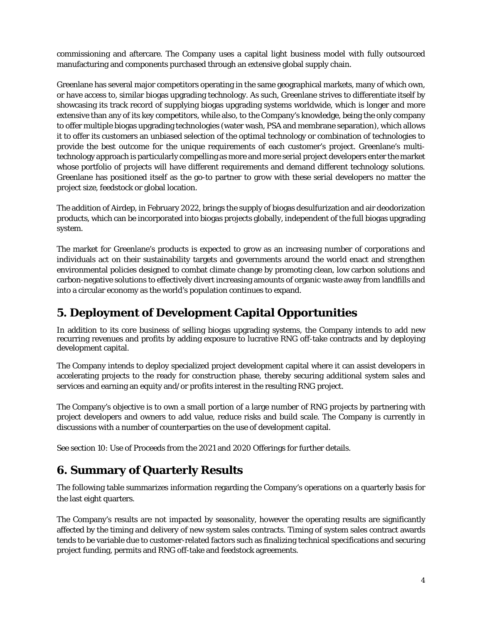commissioning and aftercare. The Company uses a capital light business model with fully outsourced manufacturing and components purchased through an extensive global supply chain.

Greenlane has several major competitors operating in the same geographical markets, many of which own, or have access to, similar biogas upgrading technology. As such, Greenlane strives to differentiate itself by showcasing its track record of supplying biogas upgrading systems worldwide, which is longer and more extensive than any of its key competitors, while also, to the Company's knowledge, being the only company to offer multiple biogas upgrading technologies (water wash, PSA and membrane separation), which allows it to offer its customers an unbiased selection of the optimal technology or combination of technologies to provide the best outcome for the unique requirements of each customer's project. Greenlane's multitechnology approach is particularly compelling as more and more serial project developers enter the market whose portfolio of projects will have different requirements and demand different technology solutions. Greenlane has positioned itself as the go-to partner to grow with these serial developers no matter the project size, feedstock or global location.

The addition of Airdep, in February 2022, brings the supply of biogas desulfurization and air deodorization products, which can be incorporated into biogas projects globally, independent of the full biogas upgrading system.

The market for Greenlane's products is expected to grow as an increasing number of corporations and individuals act on their sustainability targets and governments around the world enact and strengthen environmental policies designed to combat climate change by promoting clean, low carbon solutions and carbon-negative solutions to effectively divert increasing amounts of organic waste away from landfills and into a circular economy as the world's population continues to expand.

# **5. Deployment of Development Capital Opportunities**

In addition to its core business of selling biogas upgrading systems, the Company intends to add new recurring revenues and profits by adding exposure to lucrative RNG off-take contracts and by deploying development capital.

The Company intends to deploy specialized project development capital where it can assist developers in accelerating projects to the ready for construction phase, thereby securing additional system sales and services and earning an equity and/or profits interest in the resulting RNG project.

The Company's objective is to own a small portion of a large number of RNG projects by partnering with project developers and owners to add value, reduce risks and build scale. The Company is currently in discussions with a number of counterparties on the use of development capital.

See section 10: Use of Proceeds from the 2021 and 2020 Offerings for further details.

# **6. Summary of Quarterly Results**

The following table summarizes information regarding the Company's operations on a quarterly basis for the last eight quarters.

The Company's results are not impacted by seasonality, however the operating results are significantly affected by the timing and delivery of new system sales contracts. Timing of system sales contract awards tends to be variable due to customer-related factors such as finalizing technical specifications and securing project funding, permits and RNG off-take and feedstock agreements.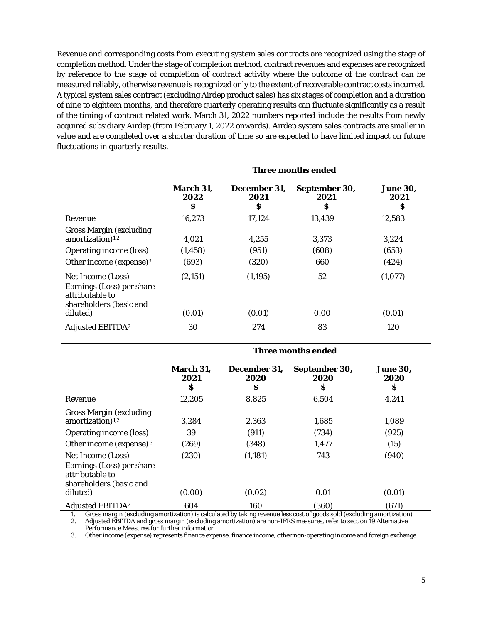Revenue and corresponding costs from executing system sales contracts are recognized using the stage of completion method. Under the stage of completion method, contract revenues and expenses are recognized by reference to the stage of completion of contract activity where the outcome of the contract can be measured reliably, otherwise revenue is recognized only to the extent of recoverable contract costs incurred. A typical system sales contract (excluding Airdep product sales) has six stages of completion and a duration of nine to eighteen months, and therefore quarterly operating results can fluctuate significantly as a result of the timing of contract related work. March 31, 2022 numbers reported include the results from newly acquired subsidiary Airdep (from February 1, 2022 onwards). Airdep system sales contracts are smaller in value and are completed over a shorter duration of time so are expected to have limited impact on future fluctuations in quarterly results.

|                                                                                                                                         | <b>Three months ended</b>  |                           |                             |                              |
|-----------------------------------------------------------------------------------------------------------------------------------------|----------------------------|---------------------------|-----------------------------|------------------------------|
|                                                                                                                                         | March 31,<br>2022<br>\$    | December 31,<br>2021<br>S | September 30,<br>2021<br>\$ | <b>June 30,</b><br>2021<br>S |
| Revenue                                                                                                                                 | 16,273                     | 17,124                    | 13,439                      | 12,583                       |
| <b>Gross Margin (excluding</b><br>amortization) <sup>1,2</sup><br><b>Operating income (loss)</b><br>Other income (expense) <sup>3</sup> | 4.021<br>(1, 458)<br>(693) | 4.255<br>(951)<br>(320)   | 3.373<br>(608)<br>660       | 3,224<br>(653)<br>(424)      |
| Net Income (Loss)<br>Earnings (Loss) per share<br>attributable to<br>shareholders (basic and<br>diluted)                                | (2,151)<br>(0.01)          | (1,195)<br>(0.01)         | 52<br>0.00                  | (1,077)<br>(0.01)            |
| <b>Adjusted EBITDA<sup>2</sup></b>                                                                                                      | 30                         | 274                       | 83                          | 120                          |

|                                                                                                          | Three months ended     |                           |                            |                               |
|----------------------------------------------------------------------------------------------------------|------------------------|---------------------------|----------------------------|-------------------------------|
|                                                                                                          | March 31,<br>2021<br>S | December 31,<br>2020<br>S | September 30,<br>2020<br>S | <b>June 30.</b><br>2020<br>\$ |
| Revenue                                                                                                  | 12,205                 | 8,825                     | 6,504                      | 4,241                         |
| <b>Gross Margin (excluding)</b><br>amortization) <sup>1,2</sup>                                          | 3,284                  | 2,363                     | 1,685                      | 1,089                         |
| <b>Operating income (loss)</b>                                                                           | 39                     | (911)                     | (734)                      | (925)                         |
| Other income (expense) <sup>3</sup>                                                                      | (269)                  | (348)                     | 1,477                      | (15)                          |
| Net Income (Loss)<br>Earnings (Loss) per share<br>attributable to<br>shareholders (basic and<br>diluted) | (230)<br>(0.00)        | (1,181)<br>(0.02)         | 743<br>0.01                | (940)<br>(0.01)               |
| <b>Adjusted EBITDA<sup>2</sup></b>                                                                       | 604                    | 160                       | (360)                      | (671)                         |

1. Gross margin (excluding amortization) is calculated by taking revenue less cost of goods sold (excluding amortization)

2. Adjusted EBITDA and gross margin (excluding amortization) are non-IFRS measures, refer to section 19 Alternative Performance Measures for further information

3. Other income (expense) represents finance expense, finance income, other non-operating income and foreign exchange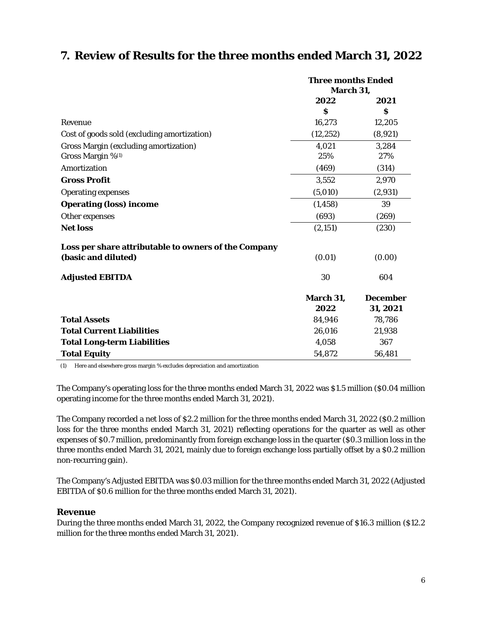### **7. Review of Results for the three months ended March 31, 2022**

|                                                      | <b>Three months Ended</b> |                 |
|------------------------------------------------------|---------------------------|-----------------|
|                                                      | March 31,                 |                 |
|                                                      | 2022                      | 2021            |
|                                                      | $\boldsymbol{s}$          | \$              |
| Revenue                                              | 16,273                    | 12,205          |
| Cost of goods sold (excluding amortization)          | (12, 252)                 | (8,921)         |
| <b>Gross Margin (excluding amortization)</b>         | 4,021                     | 3,284           |
| Gross Margin %(1)                                    | 25%                       | 27%             |
| Amortization                                         | (469)                     | (314)           |
| <b>Gross Profit</b>                                  | 3,552                     | 2,970           |
| <b>Operating expenses</b>                            | (5,010)                   | (2,931)         |
| <b>Operating (loss) income</b>                       | (1, 458)                  | 39              |
| Other expenses                                       | (693)                     | (269)           |
| <b>Net loss</b>                                      | (2, 151)                  | (230)           |
| Loss per share attributable to owners of the Company |                           |                 |
| (basic and diluted)                                  | (0.01)                    | (0.00)          |
| <b>Adjusted EBITDA</b>                               | 30                        | 604             |
|                                                      | March 31,                 | <b>December</b> |
|                                                      | 2022                      | 31, 2021        |
| <b>Total Assets</b>                                  | 84,946                    | 78,786          |
| <b>Total Current Liabilities</b>                     | 26,016                    | 21,938          |
| <b>Total Long-term Liabilities</b>                   | 4,058                     | 367             |
| <b>Total Equity</b>                                  | 54,872                    | 56,481          |

(1) Here and elsewhere gross margin % excludes depreciation and amortization

The Company's operating loss for the three months ended March 31, 2022 was \$1.5 million (\$0.04 million operating income for the three months ended March 31, 2021).

The Company recorded a net loss of \$2.2 million for the three months ended March 31, 2022 (\$0.2 million loss for the three months ended March 31, 2021) reflecting operations for the quarter as well as other expenses of \$0.7 million, predominantly from foreign exchange loss in the quarter (\$0.3 million loss in the three months ended March 31, 2021, mainly due to foreign exchange loss partially offset by a \$0.2 million non-recurring gain).

The Company's Adjusted EBITDA was \$0.03 million for the three months ended March 31, 2022 (Adjusted EBITDA of \$0.6 million for the three months ended March 31, 2021).

### **Revenue**

During the three months ended March 31, 2022, the Company recognized revenue of \$16.3 million (\$12.2 million for the three months ended March 31, 2021).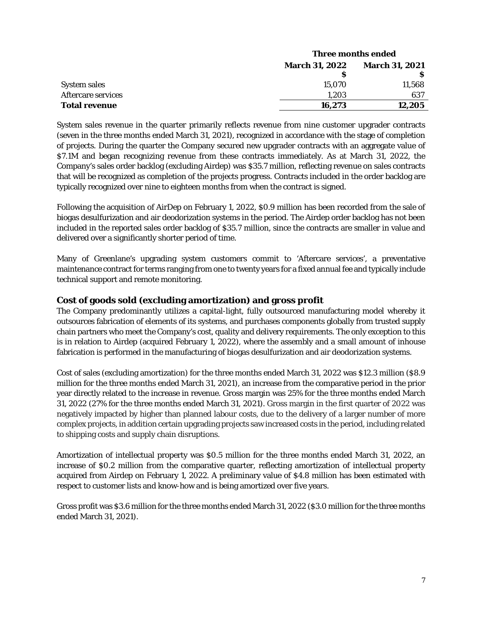|                      | Three months ended    |                       |  |
|----------------------|-----------------------|-----------------------|--|
|                      | <b>March 31, 2022</b> | <b>March 31, 2021</b> |  |
|                      |                       |                       |  |
| <b>System sales</b>  | 15.070                | 11,568                |  |
| Aftercare services   | 1.203                 | 637                   |  |
| <b>Total revenue</b> | 16.273                | 12.205                |  |

System sales revenue in the quarter primarily reflects revenue from nine customer upgrader contracts (seven in the three months ended March 31, 2021), recognized in accordance with the stage of completion of projects. During the quarter the Company secured new upgrader contracts with an aggregate value of \$7.1M and began recognizing revenue from these contracts immediately. As at March 31, 2022, the Company's sales order backlog (excluding Airdep) was \$35.7 million, reflecting revenue on sales contracts that will be recognized as completion of the projects progress. Contracts included in the order backlog are typically recognized over nine to eighteen months from when the contract is signed.

Following the acquisition of AirDep on February 1, 2022, \$0.9 million has been recorded from the sale of biogas desulfurization and air deodorization systems in the period. The Airdep order backlog has not been included in the reported sales order backlog of \$35.7 million, since the contracts are smaller in value and delivered over a significantly shorter period of time.

Many of Greenlane's upgrading system customers commit to 'Aftercare services', a preventative maintenance contract for terms ranging from one to twenty years for a fixed annual fee and typically include technical support and remote monitoring.

### **Cost of goods sold (excluding amortization) and gross profit**

The Company predominantly utilizes a capital-light, fully outsourced manufacturing model whereby it outsources fabrication of elements of its systems, and purchases components globally from trusted supply chain partners who meet the Company's cost, quality and delivery requirements. The only exception to this is in relation to Airdep (acquired February 1, 2022), where the assembly and a small amount of inhouse fabrication is performed in the manufacturing of biogas desulfurization and air deodorization systems.

Cost of sales (excluding amortization) for the three months ended March 31, 2022 was \$12.3 million (\$8.9) million for the three months ended March 31, 2021), an increase from the comparative period in the prior year directly related to the increase in revenue. Gross margin was 25% for the three months ended March 31, 2022 (27% for the three months ended March 31, 2021). Gross margin in the first quarter of 2022 was negatively impacted by higher than planned labour costs, due to the delivery of a larger number of more complex projects, in addition certain upgrading projects saw increased costs in the period, including related to shipping costs and supply chain disruptions.

Amortization of intellectual property was \$0.5 million for the three months ended March 31, 2022, an increase of \$0.2 million from the comparative quarter, reflecting amortization of intellectual property acquired from Airdep on February 1, 2022. A preliminary value of \$4.8 million has been estimated with respect to customer lists and know-how and is being amortized over five years.

Gross profit was \$3.6 million for the three months ended March 31, 2022 (\$3.0 million for the three months ended March 31, 2021).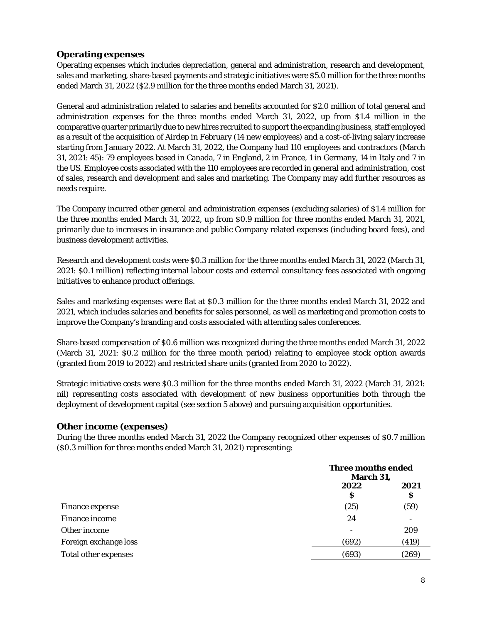### **Operating expenses**

Operating expenses which includes depreciation, general and administration, research and development, sales and marketing, share-based payments and strategic initiatives were \$5.0 million for the three months ended March 31, 2022 (\$2.9 million for the three months ended March 31, 2021).

General and administration related to salaries and benefits accounted for \$2.0 million of total general and administration expenses for the three months ended March 31, 2022, up from \$1.4 million in the comparative quarter primarily due to new hires recruited to support the expanding business, staff employed as a result of the acquisition of Airdep in February (14 new employees) and a cost-of-living salary increase starting from January 2022. At March 31, 2022, the Company had 110 employees and contractors (March 31, 2021: 45): 79 employees based in Canada, 7 in England, 2 in France, 1 in Germany, 14 in Italy and 7 in the US. Employee costs associated with the 110 employees are recorded in general and administration, cost of sales, research and development and sales and marketing. The Company may add further resources as needs require.

The Company incurred other general and administration expenses (excluding salaries) of \$1.4 million for the three months ended March 31, 2022, up from \$0.9 million for three months ended March 31, 2021, primarily due to increases in insurance and public Company related expenses (including board fees), and business development activities.

Research and development costs were \$0.3 million for the three months ended March 31, 2022 (March 31, 2021: \$0.1 million) reflecting internal labour costs and external consultancy fees associated with ongoing initiatives to enhance product offerings.

Sales and marketing expenses were flat at \$0.3 million for the three months ended March 31, 2022 and 2021, which includes salaries and benefits for sales personnel, as well as marketing and promotion costs to improve the Company's branding and costs associated with attending sales conferences.

Share-based compensation of \$0.6 million was recognized during the three months ended March 31, 2022 (March 31, 2021: \$0.2 million for the three month period) relating to employee stock option awards (granted from 2019 to 2022) and restricted share units (granted from 2020 to 2022).

Strategic initiative costs were \$0.3 million for the three months ended March 31, 2022 (March 31, 2021: nil) representing costs associated with development of new business opportunities both through the deployment of development capital (see section 5 above) and pursuing acquisition opportunities.

### **Other income (expenses)**

During the three months ended March 31, 2022 the Company recognized other expenses of \$0.7 million (\$0.3 million for three months ended March 31, 2021) representing:

|                        |           | Three months ended<br>March 31, |  |
|------------------------|-----------|---------------------------------|--|
|                        | 2022<br>S | 2021<br>S                       |  |
| <b>Finance expense</b> | (25)      | (59)                            |  |
| <b>Finance income</b>  | 24        |                                 |  |
| Other income           |           | 209                             |  |
| Foreign exchange loss  | (692)     | (419)                           |  |
| Total other expenses   | (693)     | (269)                           |  |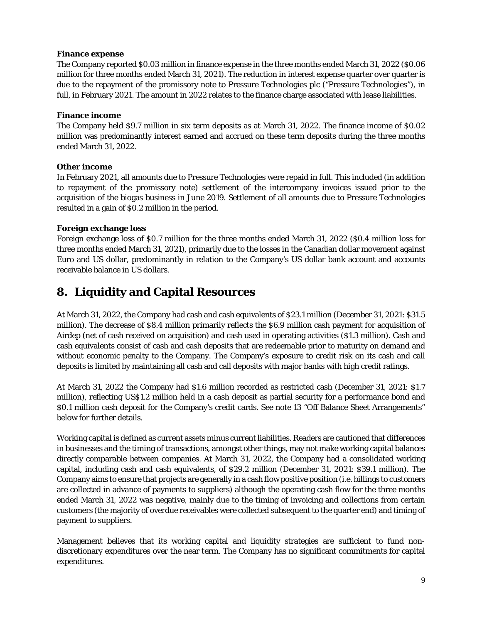#### **Finance expense**

The Company reported \$0.03 million in finance expense in the three months ended March 31, 2022 (\$0.06 million for three months ended March 31, 2021). The reduction in interest expense quarter over quarter is due to the repayment of the promissory note to Pressure Technologies plc ("Pressure Technologies"), in full, in February 2021. The amount in 2022 relates to the finance charge associated with lease liabilities.

#### **Finance income**

The Company held \$9.7 million in six term deposits as at March 31, 2022. The finance income of \$0.02 million was predominantly interest earned and accrued on these term deposits during the three months ended March 31, 2022.

### **Other income**

In February 2021, all amounts due to Pressure Technologies were repaid in full. This included (in addition to repayment of the promissory note) settlement of the intercompany invoices issued prior to the acquisition of the biogas business in June 2019. Settlement of all amounts due to Pressure Technologies resulted in a gain of \$0.2 million in the period.

#### **Foreign exchange loss**

Foreign exchange loss of \$0.7 million for the three months ended March 31, 2022 (\$0.4 million loss for three months ended March 31, 2021), primarily due to the losses in the Canadian dollar movement against Euro and US dollar, predominantly in relation to the Company's US dollar bank account and accounts receivable balance in US dollars.

### **8. Liquidity and Capital Resources**

At March 31, 2022, the Company had cash and cash equivalents of \$23.1 million (December 31, 2021: \$31.5 million). The decrease of \$8.4 million primarily reflects the \$6.9 million cash payment for acquisition of Airdep (net of cash received on acquisition) and cash used in operating activities (\$1.3 million). Cash and cash equivalents consist of cash and cash deposits that are redeemable prior to maturity on demand and without economic penalty to the Company. The Company's exposure to credit risk on its cash and call deposits is limited by maintaining all cash and call deposits with major banks with high credit ratings.

At March 31, 2022 the Company had \$1.6 million recorded as restricted cash (December 31, 2021: \$1.7 million), reflecting US\$1.2 million held in a cash deposit as partial security for a performance bond and \$0.1 million cash deposit for the Company's credit cards. See note 13 "Off Balance Sheet Arrangements" below for further details.

Working capital is defined as current assets minus current liabilities. Readers are cautioned that differences in businesses and the timing of transactions, amongst other things, may not make working capital balances directly comparable between companies. At March 31, 2022, the Company had a consolidated working capital, including cash and cash equivalents, of \$29.2 million (December 31, 2021: \$39.1 million). The Company aims to ensure that projects are generally in a cash flow positive position (i.e. billings to customers are collected in advance of payments to suppliers) although the operating cash flow for the three months ended March 31, 2022 was negative, mainly due to the timing of invoicing and collections from certain customers (the majority of overdue receivables were collected subsequent to the quarter end) and timing of payment to suppliers.

Management believes that its working capital and liquidity strategies are sufficient to fund nondiscretionary expenditures over the near term. The Company has no significant commitments for capital expenditures.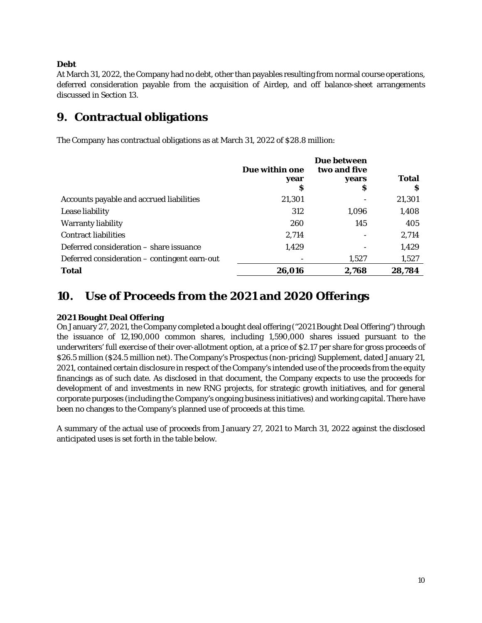### **Debt**

At March 31, 2022, the Company had no debt, other than payables resulting from normal course operations, deferred consideration payable from the acquisition of Airdep, and off balance-sheet arrangements discussed in Section 13.

### **9. Contractual obligations**

The Company has contractual obligations as at March 31, 2022 of \$28.8 million:

|                                              | Due within one<br>year<br>S | Due between<br>two and five<br>years<br>S | <b>Total</b><br>S |
|----------------------------------------------|-----------------------------|-------------------------------------------|-------------------|
| Accounts payable and accrued liabilities     | 21,301                      |                                           | 21,301            |
| Lease liability                              | 312                         | 1,096                                     | 1,408             |
| <b>Warranty liability</b>                    | 260                         | 145                                       | 405               |
| <b>Contract liabilities</b>                  | 2,714                       |                                           | 2,714             |
| Deferred consideration – share issuance      | 1,429                       |                                           | 1,429             |
| Deferred consideration – contingent earn-out |                             | 1,527                                     | 1,527             |
| <b>Total</b>                                 | 26,016                      | 2,768                                     | 28,784            |

### **10. Use of Proceeds from the 2021 and 2020 Offerings**

### **2021 Bought Deal Offering**

On January 27, 2021, the Company completed a bought deal offering ("2021 Bought Deal Offering") through the issuance of 12,190,000 common shares, including 1,590,000 shares issued pursuant to the underwriters' full exercise of their over-allotment option, at a price of \$2.17 per share for gross proceeds of \$26.5 million (\$24.5 million net). The Company's Prospectus (non-pricing) Supplement, dated January 21, 2021, contained certain disclosure in respect of the Company's intended use of the proceeds from the equity financings as of such date. As disclosed in that document, the Company expects to use the proceeds for development of and investments in new RNG projects, for strategic growth initiatives, and for general corporate purposes (including the Company's ongoing business initiatives) and working capital. There have been no changes to the Company's planned use of proceeds at this time.

A summary of the actual use of proceeds from January 27, 2021 to March 31, 2022 against the disclosed anticipated uses is set forth in the table below.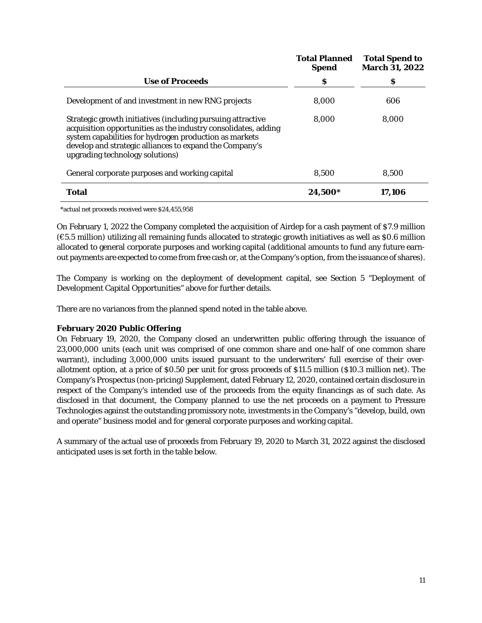|                                                                                                                                                                                                                                                                                       | <b>Total Planned</b><br><b>Spend</b> | <b>Total Spend to</b><br><b>March 31, 2022</b> |
|---------------------------------------------------------------------------------------------------------------------------------------------------------------------------------------------------------------------------------------------------------------------------------------|--------------------------------------|------------------------------------------------|
| <b>Use of Proceeds</b>                                                                                                                                                                                                                                                                | S                                    | s                                              |
| Development of and investment in new RNG projects                                                                                                                                                                                                                                     | 8,000                                | 606                                            |
| Strategic growth initiatives (including pursuing attractive<br>acquisition opportunities as the industry consolidates, adding<br>system capabilities for hydrogen production as markets<br>develop and strategic alliances to expand the Company's<br>upgrading technology solutions) | 8.000                                | 8,000                                          |
| General corporate purposes and working capital                                                                                                                                                                                                                                        | 8.500                                | 8.500                                          |
| <b>Total</b>                                                                                                                                                                                                                                                                          | 24,500*                              | 17,106                                         |

\*actual net proceeds received were \$24,455,958

On February 1, 2022 the Company completed the acquisition of Airdep for a cash payment of \$7.9 million (€5.5 million) utilizing all remaining funds allocated to strategic growth initiatives as well as \$0.6 million allocated to general corporate purposes and working capital (additional amounts to fund any future earnout payments are expected to come from free cash or, at the Company's option, from the issuance of shares).

The Company is working on the deployment of development capital, see Section 5 "Deployment of Development Capital Opportunities" above for further details.

There are no variances from the planned spend noted in the table above.

#### **February 2020 Public Offering**

On February 19, 2020, the Company closed an underwritten public offering through the issuance of 23,000,000 units (each unit was comprised of one common share and one-half of one common share warrant), including 3,000,000 units issued pursuant to the underwriters' full exercise of their overallotment option, at a price of \$0.50 per unit for gross proceeds of \$11.5 million (\$10.3 million net). The Company's Prospectus (non-pricing) Supplement, dated February 12, 2020, contained certain disclosure in respect of the Company's intended use of the proceeds from the equity financings as of such date. As disclosed in that document, the Company planned to use the net proceeds on a payment to Pressure Technologies against the outstanding promissory note, investments in the Company's "develop, build, own and operate" business model and for general corporate purposes and working capital.

A summary of the actual use of proceeds from February 19, 2020 to March 31, 2022 against the disclosed anticipated uses is set forth in the table below.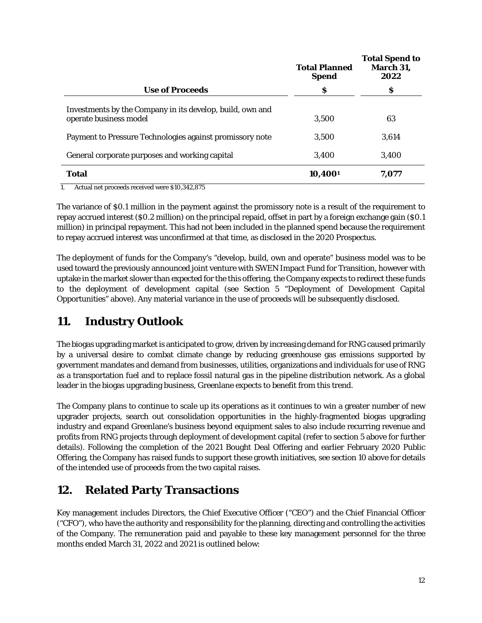|                                                                                     | <b>Total Planned</b><br><b>Spend</b> | <b>Total Spend to</b><br>March 31,<br>2022 |
|-------------------------------------------------------------------------------------|--------------------------------------|--------------------------------------------|
| <b>Use of Proceeds</b>                                                              | \$                                   | S                                          |
| Investments by the Company in its develop, build, own and<br>operate business model | 3.500                                | 63                                         |
| Payment to Pressure Technologies against promissory note                            | 3.500                                | 3,614                                      |
| General corporate purposes and working capital                                      | 3,400                                | 3,400                                      |
| <b>Total</b>                                                                        | 10,4001                              | 7,077                                      |

1. Actual net proceeds received were \$10,342,875

The variance of \$0.1 million in the payment against the promissory note is a result of the requirement to repay accrued interest (\$0.2 million) on the principal repaid, offset in part by a foreign exchange gain (\$0.1 million) in principal repayment. This had not been included in the planned spend because the requirement to repay accrued interest was unconfirmed at that time, as disclosed in the 2020 Prospectus.

The deployment of funds for the Company's "develop, build, own and operate" business model was to be used toward the previously announced joint venture with SWEN Impact Fund for Transition, however with uptake in the market slower than expected for the this offering, the Company expects to redirect these funds to the deployment of development capital (see Section 5 "Deployment of Development Capital Opportunities" above). Any material variance in the use of proceeds will be subsequently disclosed.

# **11. Industry Outlook**

The biogas upgrading market is anticipated to grow, driven by increasing demand for RNG caused primarily by a universal desire to combat climate change by reducing greenhouse gas emissions supported by government mandates and demand from businesses, utilities, organizations and individuals for use of RNG as a transportation fuel and to replace fossil natural gas in the pipeline distribution network. As a global leader in the biogas upgrading business, Greenlane expects to benefit from this trend.

The Company plans to continue to scale up its operations as it continues to win a greater number of new upgrader projects, search out consolidation opportunities in the highly-fragmented biogas upgrading industry and expand Greenlane's business beyond equipment sales to also include recurring revenue and profits from RNG projects through deployment of development capital (refer to section 5 above for further details). Following the completion of the 2021 Bought Deal Offering and earlier February 2020 Public Offering, the Company has raised funds to support these growth initiatives, see section 10 above for details of the intended use of proceeds from the two capital raises.

# **12. Related Party Transactions**

Key management includes Directors, the Chief Executive Officer ("CEO") and the Chief Financial Officer ("CFO"), who have the authority and responsibility for the planning, directing and controlling the activities of the Company. The remuneration paid and payable to these key management personnel for the three months ended March 31, 2022 and 2021 is outlined below: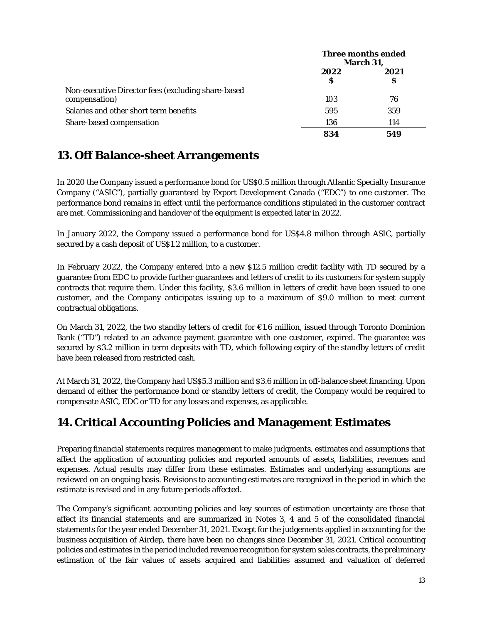|                                                                     | Three months ended<br><b>March 31,</b> |           |
|---------------------------------------------------------------------|----------------------------------------|-----------|
|                                                                     | 2022<br>S                              | 2021<br>S |
| Non-executive Director fees (excluding share-based<br>compensation) | 103                                    | 76        |
| Salaries and other short term benefits                              | 595                                    | 359       |
| Share-based compensation                                            | 136                                    | 114       |
|                                                                     | 834                                    | 549       |

# **13. Off Balance-sheet Arrangements**

In 2020 the Company issued a performance bond for US\$0.5 million through Atlantic Specialty Insurance Company ("ASIC"), partially guaranteed by Export Development Canada ("EDC") to one customer. The performance bond remains in effect until the performance conditions stipulated in the customer contract are met. Commissioning and handover of the equipment is expected later in 2022.

In January 2022, the Company issued a performance bond for US\$4.8 million through ASIC, partially secured by a cash deposit of US\$1.2 million, to a customer.

In February 2022, the Company entered into a new \$12.5 million credit facility with TD secured by a guarantee from EDC to provide further guarantees and letters of credit to its customers for system supply contracts that require them. Under this facility, \$3.6 million in letters of credit have been issued to one customer, and the Company anticipates issuing up to a maximum of \$9.0 million to meet current contractual obligations.

On March 31, 2022, the two standby letters of credit for €1.6 million, issued through Toronto Dominion Bank ("TD") related to an advance payment guarantee with one customer, expired. The guarantee was secured by \$3.2 million in term deposits with TD, which following expiry of the standby letters of credit have been released from restricted cash.

At March 31, 2022, the Company had US\$5.3 million and \$3.6 million in off-balance sheet financing. Upon demand of either the performance bond or standby letters of credit, the Company would be required to compensate ASIC, EDC or TD for any losses and expenses, as applicable.

# **14.Critical Accounting Policies and Management Estimates**

Preparing financial statements requires management to make judgments, estimates and assumptions that affect the application of accounting policies and reported amounts of assets, liabilities, revenues and expenses. Actual results may differ from these estimates. Estimates and underlying assumptions are reviewed on an ongoing basis. Revisions to accounting estimates are recognized in the period in which the estimate is revised and in any future periods affected.

The Company's significant accounting policies and key sources of estimation uncertainty are those that affect its financial statements and are summarized in Notes 3, 4 and 5 of the consolidated financial statements for the year ended December 31, 2021. Except for the judgements applied in accounting for the business acquisition of Airdep, there have been no changes since December 31, 2021. Critical accounting policies and estimates in the period included revenue recognition for system sales contracts, the preliminary estimation of the fair values of assets acquired and liabilities assumed and valuation of deferred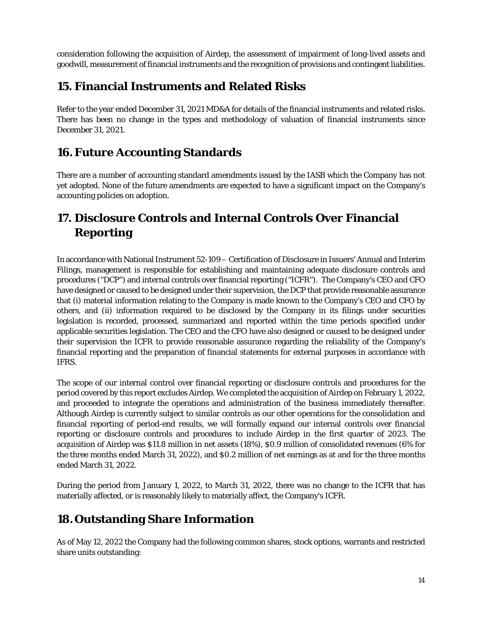consideration following the acquisition of Airdep, the assessment of impairment of long-lived assets and goodwill, measurement of financial instruments and the recognition of provisions and contingent liabilities.

### **15. Financial Instruments and Related Risks**

Refer to the year ended December 31, 2021 MD&A for details of the financial instruments and related risks. There has been no change in the types and methodology of valuation of financial instruments since December 31, 2021.

# **16.Future Accounting Standards**

There are a number of accounting standard amendments issued by the IASB which the Company has not yet adopted. None of the future amendments are expected to have a significant impact on the Company's accounting policies on adoption.

# **17. Disclosure Controls and Internal Controls Over Financial Reporting**

In accordance with National Instrument 52-109 – Certification of Disclosure in Issuers' Annual and Interim Filings, management is responsible for establishing and maintaining adequate disclosure controls and procedures ("DCP") and internal controls over financial reporting ("ICFR"). The Company's CEO and CFO have designed or caused to be designed under their supervision, the DCP that provide reasonable assurance that (i) material information relating to the Company is made known to the Company's CEO and CFO by others, and (ii) information required to be disclosed by the Company in its filings under securities legislation is recorded, processed, summarized and reported within the time periods specified under applicable securities legislation. The CEO and the CFO have also designed or caused to be designed under their supervision the ICFR to provide reasonable assurance regarding the reliability of the Company's financial reporting and the preparation of financial statements for external purposes in accordance with IFRS.

The scope of our internal control over financial reporting or disclosure controls and procedures for the period covered by this report excludes Airdep. We completed the acquisition of Airdep on February 1, 2022, and proceeded to integrate the operations and administration of the business immediately thereafter. Although Airdep is currently subject to similar controls as our other operations for the consolidation and financial reporting of period-end results, we will formally expand our internal controls over financial reporting or disclosure controls and procedures to include Airdep in the first quarter of 2023. The acquisition of Airdep was \$11.8 million in net assets (18%), \$0.9 million of consolidated revenues (6% for the three months ended March 31, 2022), and \$0.2 million of net earnings as at and for the three months ended March 31, 2022.

During the period from January 1, 2022, to March 31, 2022, there was no change to the ICFR that has materially affected, or is reasonably likely to materially affect, the Company's ICFR.

# **18.Outstanding Share Information**

As of May 12, 2022 the Company had the following common shares, stock options, warrants and restricted share units outstanding: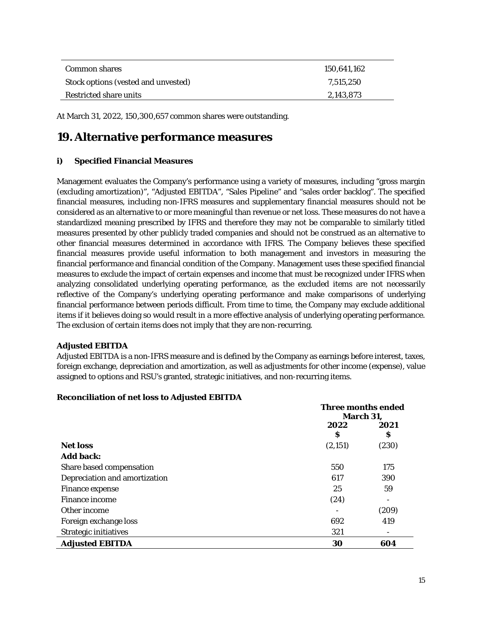| Common shares                       | 150.641.162 |
|-------------------------------------|-------------|
| Stock options (vested and unvested) | 7.515.250   |
| Restricted share units              | 2,143,873   |

At March 31, 2022, 150,300,657 common shares were outstanding.

### **19.Alternative performance measures**

### **i) Specified Financial Measures**

Management evaluates the Company's performance using a variety of measures, including "gross margin (excluding amortization)", "Adjusted EBITDA", "Sales Pipeline" and "sales order backlog". The specified financial measures, including non-IFRS measures and supplementary financial measures should not be considered as an alternative to or more meaningful than revenue or net loss. These measures do not have a standardized meaning prescribed by IFRS and therefore they may not be comparable to similarly titled measures presented by other publicly traded companies and should not be construed as an alternative to other financial measures determined in accordance with IFRS. The Company believes these specified financial measures provide useful information to both management and investors in measuring the financial performance and financial condition of the Company. Management uses these specified financial measures to exclude the impact of certain expenses and income that must be recognized under IFRS when analyzing consolidated underlying operating performance, as the excluded items are not necessarily reflective of the Company's underlying operating performance and make comparisons of underlying financial performance between periods difficult. From time to time, the Company may exclude additional items if it believes doing so would result in a more effective analysis of underlying operating performance. The exclusion of certain items does not imply that they are non-recurring.

### **Adjusted EBITDA**

Adjusted EBITDA is a non-IFRS measure and is defined by the Company as earnings before interest, taxes, foreign exchange, depreciation and amortization, as well as adjustments for other income (expense), value assigned to options and RSU's granted, strategic initiatives, and non-recurring items.

### **Reconciliation of net loss to Adjusted EBITDA**

|                               | Three months ended |       |
|-------------------------------|--------------------|-------|
|                               | <b>March 31,</b>   |       |
|                               | 2022               | 2021  |
|                               | S                  | Ş     |
| <b>Net loss</b>               | (2,151)            | (230) |
| <b>Add back:</b>              |                    |       |
| Share based compensation      | 550                | 175   |
| Depreciation and amortization | 617                | 390   |
| <b>Finance expense</b>        | 25                 | 59    |
| <b>Finance income</b>         | (24)               |       |
| Other income                  |                    | (209) |
| Foreign exchange loss         | 692                | 419   |
| <b>Strategic initiatives</b>  | 321                |       |
| <b>Adjusted EBITDA</b>        | 30                 | 604   |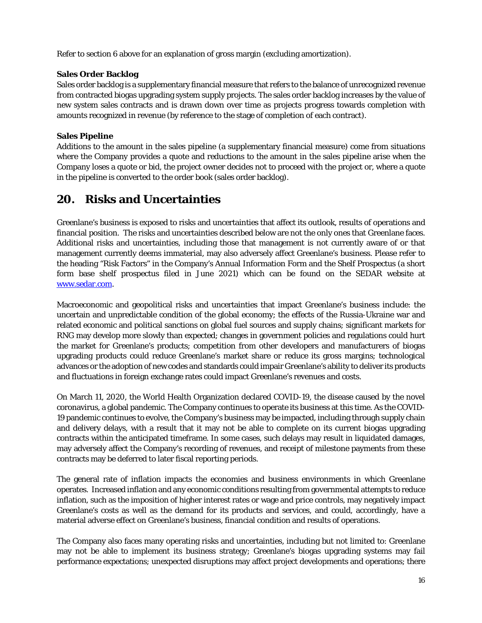Refer to section 6 above for an explanation of gross margin (excluding amortization).

### **Sales Order Backlog**

Sales order backlog is a supplementary financial measure that refers to the balance of unrecognized revenue from contracted biogas upgrading system supply projects. The sales order backlog increases by the value of new system sales contracts and is drawn down over time as projects progress towards completion with amounts recognized in revenue (by reference to the stage of completion of each contract).

### **Sales Pipeline**

Additions to the amount in the sales pipeline (a supplementary financial measure) come from situations where the Company provides a quote and reductions to the amount in the sales pipeline arise when the Company loses a quote or bid, the project owner decides not to proceed with the project or, where a quote in the pipeline is converted to the order book (sales order backlog).

### **20. Risks and Uncertainties**

Greenlane's business is exposed to risks and uncertainties that affect its outlook, results of operations and financial position. The risks and uncertainties described below are not the only ones that Greenlane faces. Additional risks and uncertainties, including those that management is not currently aware of or that management currently deems immaterial, may also adversely affect Greenlane's business. Please refer to the heading "Risk Factors" in the Company's Annual Information Form and the Shelf Prospectus (a short form base shelf prospectus filed in June 2021) which can be found on the SEDAR website at [www.sedar.com.](http://www.sedar.com/)

Macroeconomic and geopolitical risks and uncertainties that impact Greenlane's business include: the uncertain and unpredictable condition of the global economy; the effects of the Russia-Ukraine war and related economic and political sanctions on global fuel sources and supply chains; significant markets for RNG may develop more slowly than expected; changes in government policies and regulations could hurt the market for Greenlane's products; competition from other developers and manufacturers of biogas upgrading products could reduce Greenlane's market share or reduce its gross margins; technological advances or the adoption of new codes and standards could impair Greenlane's ability to deliver its products and fluctuations in foreign exchange rates could impact Greenlane's revenues and costs.

On March 11, 2020, the World Health Organization declared COVID-19, the disease caused by the novel coronavirus, a global pandemic. The Company continues to operate its business at this time. As the COVID-19 pandemic continues to evolve, the Company's business may be impacted, including through supply chain and delivery delays, with a result that it may not be able to complete on its current biogas upgrading contracts within the anticipated timeframe. In some cases, such delays may result in liquidated damages, may adversely affect the Company's recording of revenues, and receipt of milestone payments from these contracts may be deferred to later fiscal reporting periods.

The general rate of inflation impacts the economies and business environments in which Greenlane operates. Increased inflation and any economic conditions resulting from governmental attempts to reduce inflation, such as the imposition of higher interest rates or wage and price controls, may negatively impact Greenlane's costs as well as the demand for its products and services, and could, accordingly, have a material adverse effect on Greenlane's business, financial condition and results of operations.

The Company also faces many operating risks and uncertainties, including but not limited to: Greenlane may not be able to implement its business strategy; Greenlane's biogas upgrading systems may fail performance expectations; unexpected disruptions may affect project developments and operations; there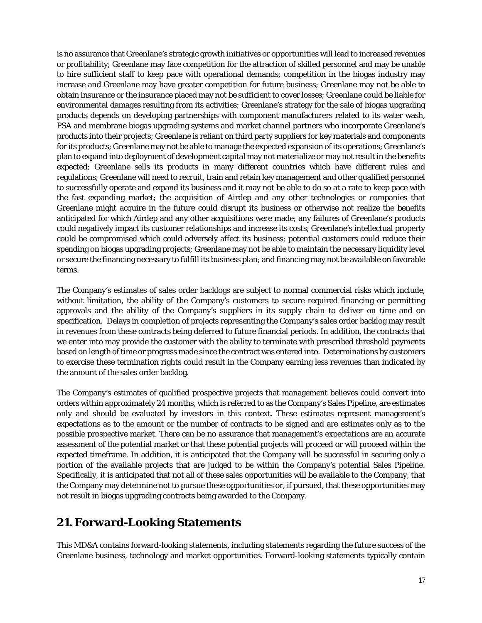is no assurance that Greenlane's strategic growth initiatives or opportunities will lead to increased revenues or profitability; Greenlane may face competition for the attraction of skilled personnel and may be unable to hire sufficient staff to keep pace with operational demands; competition in the biogas industry may increase and Greenlane may have greater competition for future business; Greenlane may not be able to obtain insurance or the insurance placed may not be sufficient to cover losses; Greenlane could be liable for environmental damages resulting from its activities; Greenlane's strategy for the sale of biogas upgrading products depends on developing partnerships with component manufacturers related to its water wash, PSA and membrane biogas upgrading systems and market channel partners who incorporate Greenlane's products into their projects; Greenlane is reliant on third party suppliers for key materials and components for its products; Greenlane may not be able to manage the expected expansion of its operations; Greenlane's plan to expand into deployment of development capital may not materialize or may not result in the benefits expected; Greenlane sells its products in many different countries which have different rules and regulations; Greenlane will need to recruit, train and retain key management and other qualified personnel to successfully operate and expand its business and it may not be able to do so at a rate to keep pace with the fast expanding market; the acquisition of Airdep and any other technologies or companies that Greenlane might acquire in the future could disrupt its business or otherwise not realize the benefits anticipated for which Airdep and any other acquisitions were made; any failures of Greenlane's products could negatively impact its customer relationships and increase its costs; Greenlane's intellectual property could be compromised which could adversely affect its business; potential customers could reduce their spending on biogas upgrading projects; Greenlane may not be able to maintain the necessary liquidity level or secure the financing necessary to fulfill its business plan; and financing may not be available on favorable terms.

The Company's estimates of sales order backlogs are subject to normal commercial risks which include, without limitation, the ability of the Company's customers to secure required financing or permitting approvals and the ability of the Company's suppliers in its supply chain to deliver on time and on specification. Delays in completion of projects representing the Company's sales order backlog may result in revenues from these contracts being deferred to future financial periods. In addition, the contracts that we enter into may provide the customer with the ability to terminate with prescribed threshold payments based on length of time or progress made since the contract was entered into. Determinations by customers to exercise these termination rights could result in the Company earning less revenues than indicated by the amount of the sales order backlog.

The Company's estimates of qualified prospective projects that management believes could convert into orders within approximately 24 months, which is referred to as the Company's Sales Pipeline, are estimates only and should be evaluated by investors in this context. These estimates represent management's expectations as to the amount or the number of contracts to be signed and are estimates only as to the possible prospective market. There can be no assurance that management's expectations are an accurate assessment of the potential market or that these potential projects will proceed or will proceed within the expected timeframe. In addition, it is anticipated that the Company will be successful in securing only a portion of the available projects that are judged to be within the Company's potential Sales Pipeline. Specifically, it is anticipated that not all of these sales opportunities will be available to the Company, that the Company may determine not to pursue these opportunities or, if pursued, that these opportunities may not result in biogas upgrading contracts being awarded to the Company.

### **21.Forward-Looking Statements**

This MD&A contains forward-looking statements, including statements regarding the future success of the Greenlane business, technology and market opportunities. Forward-looking statements typically contain